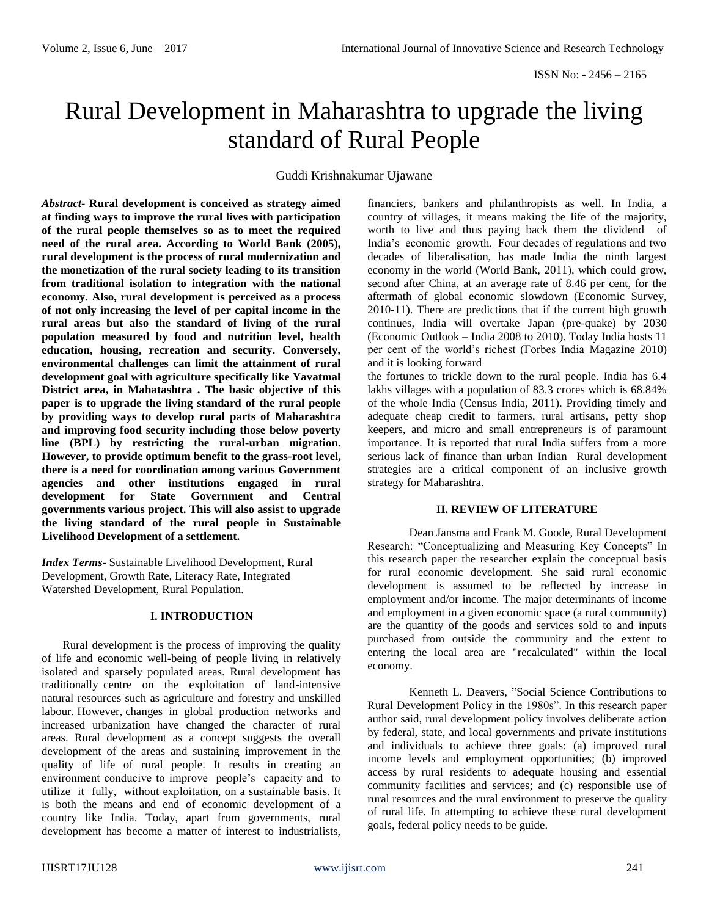# Rural Development in Maharashtra to upgrade the living standard of Rural People

Guddi Krishnakumar Ujawane

*Abstract***- Rural development is conceived as strategy aimed at finding ways to improve the rural lives with participation of the rural people themselves so as to meet the required need of the rural area. According to World Bank (2005), rural development is the process of rural modernization and the monetization of the rural society leading to its transition from traditional isolation to integration with the national economy. Also, rural development is perceived as a process of not only increasing the level of per capital income in the rural areas but also the standard of living of the rural population measured by food and nutrition level, health education, housing, recreation and security. Conversely, environmental challenges can limit the attainment of rural development goal with agriculture specifically like Yavatmal District area, in Mahatashtra . The basic objective of this paper is to upgrade the living standard of the rural people by providing ways to develop rural parts of Maharashtra and improving food security including those below poverty line (BPL) by restricting the rural-urban migration. However, to provide optimum benefit to the grass-root level, there is a need for coordination among various Government agencies and other institutions engaged in rural development for State Government and Central governments various project. This will also assist to upgrade the living standard of the rural people in Sustainable Livelihood Development of a settlement.**

*Index Terms*- Sustainable Livelihood Development, Rural Development, Growth Rate, Literacy Rate, Integrated Watershed Development, Rural Population.

# **I. INTRODUCTION**

Rural development is the process of improving the quality of life and economic well-being of people living in relatively isolated and sparsely populated areas. Rural development has traditionally centre on the exploitation of land-intensive natural resources such as agriculture and forestry and unskilled labour. However, changes in global production networks and increased urbanization have changed the character of rural areas. Rural development as a concept suggests the overall development of the areas and sustaining improvement in the quality of life of rural people. It results in creating an environment conducive to improve people's capacity and to utilize it fully, without exploitation, on a sustainable basis. It is both the means and end of economic development of a country like India. Today, apart from governments, rural development has become a matter of interest to industrialists, financiers, bankers and philanthropists as well. In India, a country of villages, it means making the life of the majority, worth to live and thus paying back them the dividend of India's economic growth. Four decades of regulations and two decades of liberalisation, has made India the ninth largest economy in the world (World Bank, 2011), which could grow, second after China, at an average rate of 8.46 per cent, for the aftermath of global economic slowdown (Economic Survey, 2010-11). There are predictions that if the current high growth continues, India will overtake Japan (pre-quake) by 2030 (Economic Outlook – India 2008 to 2010). Today India hosts 11 per cent of the world's richest (Forbes India Magazine 2010) and it is looking forward

the fortunes to trickle down to the rural people. India has 6.4 lakhs villages with a population of 83.3 crores which is 68.84% of the whole India (Census India, 2011). Providing timely and adequate cheap credit to farmers, rural artisans, petty shop keepers, and micro and small entrepreneurs is of paramount importance. It is reported that rural India suffers from a more serious lack of finance than urban Indian Rural development strategies are a critical component of an inclusive growth strategy for Maharashtra.

## **II. REVIEW OF LITERATURE**

Dean Jansma and Frank M. Goode, Rural Development Research: "Conceptualizing and Measuring Key Concepts" In this research paper the researcher explain the conceptual basis for rural economic development. She said rural economic development is assumed to be reflected by increase in employment and/or income. The major determinants of income and employment in a given economic space (a rural community) are the quantity of the goods and services sold to and inputs purchased from outside the community and the extent to entering the local area are "recalculated" within the local economy.

Kenneth L. Deavers, "Social Science Contributions to Rural Development Policy in the 1980s". In this research paper author said, rural development policy involves deliberate action by federal, state, and local governments and private institutions and individuals to achieve three goals: (a) improved rural income levels and employment opportunities; (b) improved access by rural residents to adequate housing and essential community facilities and services; and (c) responsible use of rural resources and the rural environment to preserve the quality of rural life. In attempting to achieve these rural development goals, federal policy needs to be guide.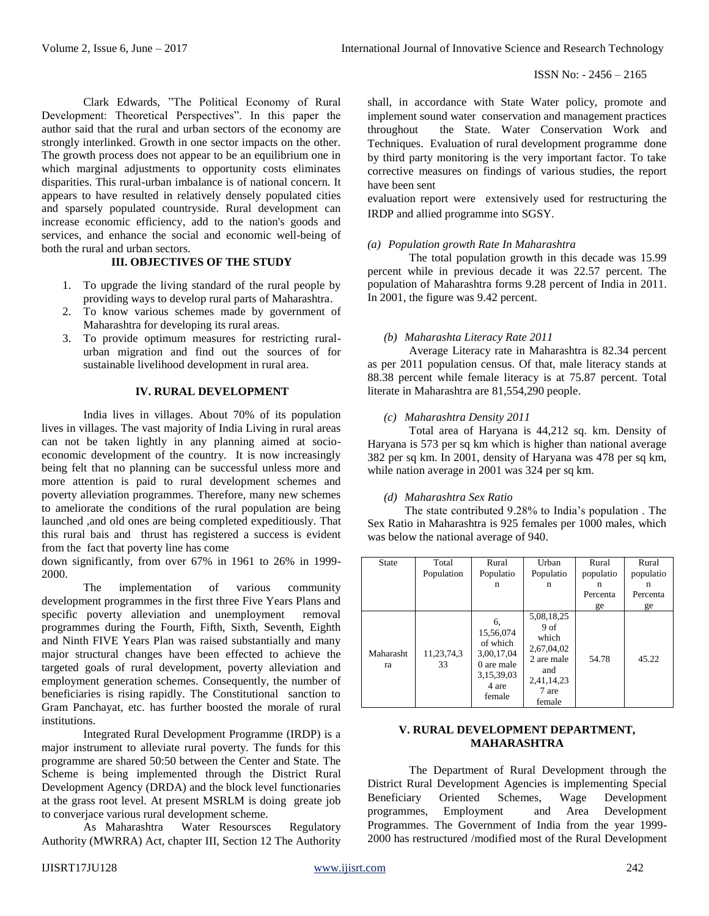Clark Edwards, "The Political Economy of Rural Development: Theoretical Perspectives". In this paper the author said that the rural and urban sectors of the economy are strongly interlinked. Growth in one sector impacts on the other. The growth process does not appear to be an equilibrium one in which marginal adjustments to opportunity costs eliminates disparities. This rural-urban imbalance is of national concern. It appears to have resulted in relatively densely populated cities and sparsely populated countryside. Rural development can increase economic efficiency, add to the nation's goods and services, and enhance the social and economic well-being of both the rural and urban sectors.

# **III. OBJECTIVES OF THE STUDY**

- 1. To upgrade the living standard of the rural people by providing ways to develop rural parts of Maharashtra.
- 2. To know various schemes made by government of Maharashtra for developing its rural areas.
- 3. To provide optimum measures for restricting ruralurban migration and find out the sources of for sustainable livelihood development in rural area.

## **IV. RURAL DEVELOPMENT**

India lives in villages. About 70% of its population lives in villages. The vast majority of India Living in rural areas can not be taken lightly in any planning aimed at socioeconomic development of the country. It is now increasingly being felt that no planning can be successful unless more and more attention is paid to rural development schemes and poverty alleviation programmes. Therefore, many new schemes to ameliorate the conditions of the rural population are being launched ,and old ones are being completed expeditiously. That this rural bais and thrust has registered a success is evident from the fact that poverty line has come

down significantly, from over 67% in 1961 to 26% in 1999- 2000.

The implementation of various community development programmes in the first three Five Years Plans and specific poverty alleviation and unemployment removal programmes during the Fourth, Fifth, Sixth, Seventh, Eighth and Ninth FIVE Years Plan was raised substantially and many major structural changes have been effected to achieve the targeted goals of rural development, poverty alleviation and employment generation schemes. Consequently, the number of beneficiaries is rising rapidly. The Constitutional sanction to Gram Panchayat, etc. has further boosted the morale of rural institutions.

Integrated Rural Development Programme (IRDP) is a major instrument to alleviate rural poverty. The funds for this programme are shared 50:50 between the Center and State. The Scheme is being implemented through the District Rural Development Agency (DRDA) and the block level functionaries at the grass root level. At present MSRLM is doing greate job to converjace various rural development scheme.

As Maharashtra Water Resoursces Regulatory Authority (MWRRA) Act, chapter III, Section 12 The Authority

shall, in accordance with State Water policy, promote and implement sound water conservation and management practices throughout the State. Water Conservation Work and Techniques. Evaluation of rural development programme done by third party monitoring is the very important factor. To take corrective measures on findings of various studies, the report have been sent

evaluation report were extensively used for restructuring the IRDP and allied programme into SGSY.

## *(a) Population growth Rate In Maharashtra*

The total population growth in this decade was 15.99 percent while in previous decade it was 22.57 percent. The population of Maharashtra forms 9.28 percent of India in 2011. In 2001, the figure was 9.42 percent.

#### *(b) Maharashta Literacy Rate 2011*

Average Literacy rate in Maharashtra is 82.34 percent as per 2011 population census. Of that, male literacy stands at 88.38 percent while female literacy is at 75.87 percent. Total literate in Maharashtra are 81,554,290 people.

#### *(c) Maharashtra Density 2011*

Total area of Haryana is 44,212 sq. km. Density of Haryana is 573 per sq km which is higher than national average 382 per sq km. In 2001, density of Haryana was 478 per sq km, while nation average in 2001 was 324 per sq km.

## *(d) Maharashtra Sex Ratio*

The state contributed 9.28% to India's population . The Sex Ratio in Maharashtra is 925 females per 1000 males, which was below the national average of 940.

| <b>State</b>    | Total<br>Population | Rural<br>Populatio                                                                       | Urban<br>Populatio                                                                                         | Rural<br>populatio  | Rural<br>populatio  |
|-----------------|---------------------|------------------------------------------------------------------------------------------|------------------------------------------------------------------------------------------------------------|---------------------|---------------------|
|                 |                     | n                                                                                        | n                                                                                                          | n<br>Percenta<br>ge | n<br>Percenta<br>ge |
| Maharasht<br>ra | 11,23,74,3<br>33    | 6,<br>15,56,074<br>of which<br>3,00,17,04<br>0 are male<br>3,15,39,03<br>4 are<br>female | 5,08,18,25<br>9 <sub>of</sub><br>which<br>2,67,04,02<br>2 are male<br>and<br>2,41,14,23<br>7 are<br>female | 54.78               | 45.22               |

## **V. RURAL DEVELOPMENT DEPARTMENT, MAHARASHTRA**

The Department of Rural Development through the District Rural Development Agencies is implementing Special Beneficiary Oriented Schemes, Wage Development programmes, Employment and Area Development Programmes. The Government of India from the year 1999- 2000 has restructured /modified most of the Rural Development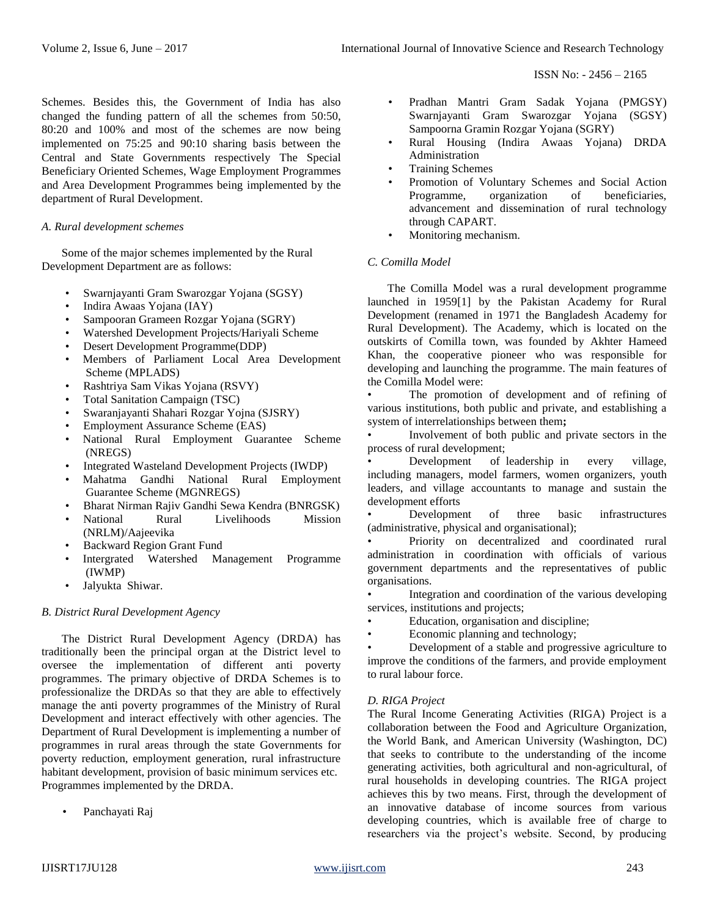ISSN No: - 2456 – 2165

Schemes. Besides this, the Government of India has also changed the funding pattern of all the schemes from 50:50, 80:20 and 100% and most of the schemes are now being implemented on 75:25 and 90:10 sharing basis between the Central and State Governments respectively The Special Beneficiary Oriented Schemes, Wage Employment Programmes and Area Development Programmes being implemented by the department of Rural Development.

## *A. Rural development schemes*

Some of the major schemes implemented by the Rural Development Department are as follows:

- Swarnjayanti Gram Swarozgar Yojana (SGSY)
- Indira Awaas Yojana (IAY)
- Sampooran Grameen Rozgar Yojana (SGRY)
- Watershed Development Projects/Hariyali Scheme
- Desert Development Programme(DDP)
- Members of Parliament Local Area Development Scheme (MPLADS)
- Rashtriya Sam Vikas Yojana (RSVY)
- Total Sanitation Campaign (TSC)
- Swaranjayanti Shahari Rozgar Yojna (SJSRY)
- Employment Assurance Scheme (EAS)
- National Rural Employment Guarantee Scheme (NREGS)
- Integrated Wasteland Development Projects (IWDP)
- Mahatma Gandhi National Rural Employment Guarantee Scheme (MGNREGS)
- Bharat Nirman Rajiv Gandhi Sewa Kendra (BNRGSK)
- National Rural Livelihoods Mission (NRLM)/Aajeevika
- Backward Region Grant Fund
- Intergrated Watershed Management Programme (IWMP)
- Jalyukta Shiwar.

## *B. District Rural Development Agency*

The District Rural Development Agency (DRDA) has traditionally been the principal organ at the District level to oversee the implementation of different anti poverty programmes. The primary objective of DRDA Schemes is to professionalize the DRDAs so that they are able to effectively manage the anti poverty programmes of the Ministry of Rural Development and interact effectively with other agencies. The Department of Rural Development is implementing a number of programmes in rural areas through the state Governments for poverty reduction, employment generation, rural infrastructure habitant development, provision of basic minimum services etc. Programmes implemented by the DRDA.

Panchayati Raj

- Pradhan Mantri Gram Sadak Yojana (PMGSY) Swarnjayanti Gram Swarozgar Yojana (SGSY) Sampoorna Gramin Rozgar Yojana (SGRY)
- Rural Housing (Indira Awaas Yojana) DRDA Administration
- Training Schemes
- Promotion of Voluntary Schemes and Social Action Programme, organization of beneficiaries, advancement and dissemination of rural technology through CAPART.
- Monitoring mechanism.

## *C. Comilla Model*

The Comilla Model was a rural development programme launched in 195[9\[1\] b](http://en.wikipedia.org/wiki/Comilla_Model#cite_note-1)y the [Pakistan A](http://en.wikipedia.org/wiki/Pakistan)cademy for Rural Development (renamed in 1971 the [Bangladesh Academy for](http://en.wikipedia.org/wiki/Bangladesh_Academy_for_Rural_Development) [Rural Development\)](http://en.wikipedia.org/wiki/Bangladesh_Academy_for_Rural_Development). The Academy, which is located on the outskirts of [Comilla t](http://en.wikipedia.org/wiki/Comilla_District)own, was founded by [Akhter Hameed](http://en.wikipedia.org/wiki/Akhter_Hameed_Khan) [Khan, t](http://en.wikipedia.org/wiki/Akhter_Hameed_Khan)he [cooperative p](http://en.wikipedia.org/wiki/Cooperative)ioneer who was responsible for developing and launching the programme. The main features of the Comilla Model were:

The promotion of development and of refining of various [institutions, b](http://en.wikipedia.org/wiki/Institutions)oth public and private, and establishing a system of interrelationships between them**;**

• Involvement of both [public a](http://en.wikipedia.org/wiki/Public_sector)nd [private sectors i](http://en.wikipedia.org/wiki/Private_sector)n the process of rural development;

Development of leadership in every village, including [managers,](http://en.wikipedia.org/wiki/Management) model [farmers,](http://en.wikipedia.org/wiki/Farmer) women [organizers,](http://en.wikipedia.org/wiki/Community_organizer) [youth](http://en.wikipedia.org/wiki/Youth_work) [leaders,](http://en.wikipedia.org/wiki/Youth_work) and village accountants to manage and sustain the development efforts

• Development of three basic infrastructures (administrative, physical and organisational);

• Priority on [decentralized a](http://en.wikipedia.org/wiki/Decentralized)nd coordinated rural administration in coordination with officials of various government departments and the representatives of public organisations.

• Integration and coordination of the various developing services, institutions and projects;

- Education, organisation and discipline;
- Economic planning and [technology;](http://en.wikipedia.org/wiki/Technology)

• Development of a stable and progressive [agriculture t](http://en.wikipedia.org/wiki/Agriculture)o improve the conditions of the farmers, and provide employment to rural labour force.

# *D. RIGA Project*

The Rural Income Generating Activities (RIGA) Project is a collaboration between the [Food](http://en.wikipedia.org/wiki/Food_and_Agriculture_Organization) [and Agriculture Organization,](http://en.wikipedia.org/wiki/Food_and_Agriculture_Organization) the [World Bank, a](http://en.wikipedia.org/wiki/World_Bank)nd [American](http://en.wikipedia.org/wiki/American_University) [University \(](http://en.wikipedia.org/wiki/American_University)Washington, DC) that seeks to contribute to the understanding of the income generating activities, both agricultural and non-agricultural, of rural households in developing countries. The RIGA project achieves this by two means. First, through the development of an innovative database of income sources from various developing countries, which is available free of charge to researchers via the project's website. Second, by producing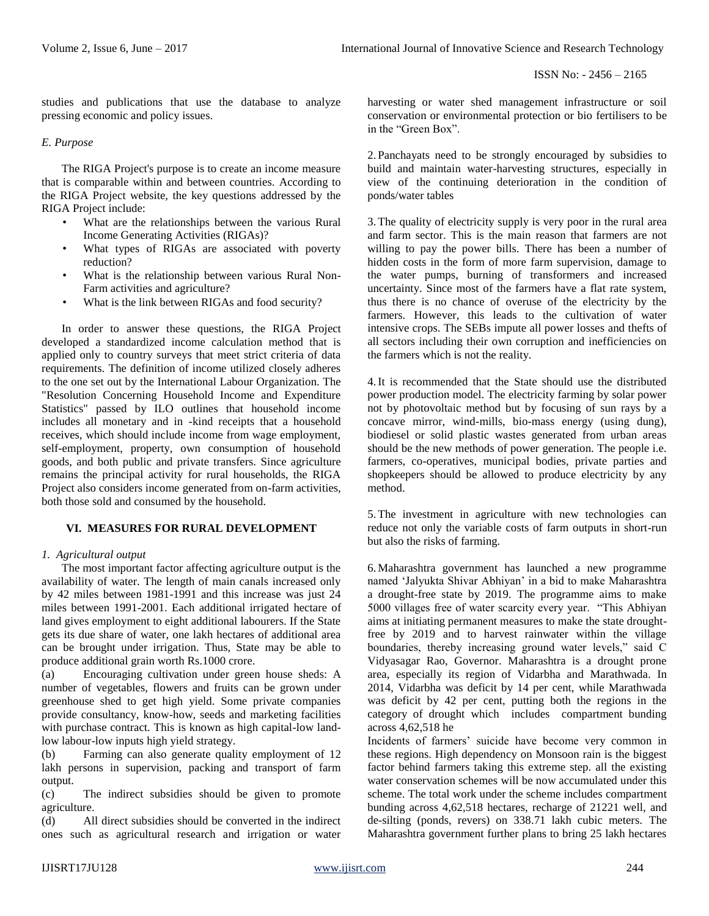studies and publications that use the database to analyze pressing economic and policy issues.

# *E. Purpose*

The RIGA Project's purpose is to create an income measure that is comparable within and between countries. According to the RIGA Project website, the key questions addressed by the RIGA Project include:

- What are the relationships between the various Rural Income Generating Activities (RIGAs)?
- What types of RIGAs are associated with poverty reduction?
- What is the relationship between various Rural Non-Farm activities and agriculture?
- What is the link between RIGAs and food security?

In order to answer these questions, the RIGA Project developed a standardized income calculation method that is applied only to country surveys that meet strict criteria of data requirements. The definition of income utilized closely adheres to the one set out by the International Labour Organization. The "Resolution Concerning Household Income and Expenditure Statistics" passed by ILO outlines that household income includes all monetary and in -kind receipts that a household receives, which should include income from wage employment, self-employment, property, own consumption of household goods, and both public and private transfers. Since agriculture remains the principal activity for rural households, the RIGA Project also considers income generated from on-farm activities, both those sold and consumed by the household.

# **VI. MEASURES FOR RURAL DEVELOPMENT**

# *1. Agricultural output*

The most important factor affecting agriculture output is the availability of water. The length of main canals increased only by 42 miles between 1981-1991 and this increase was just 24 miles between 1991-2001. Each additional irrigated hectare of land gives employment to eight additional labourers. If the State gets its due share of water, one lakh hectares of additional area can be brought under irrigation. Thus, State may be able to produce additional grain worth Rs.1000 crore.

(a) Encouraging cultivation under green house sheds: A number of vegetables, flowers and fruits can be grown under greenhouse shed to get high yield. Some private companies provide consultancy, know-how, seeds and marketing facilities with purchase contract. This is known as high capital-low landlow labour-low inputs high yield strategy.

(b) Farming can also generate quality employment of 12 lakh persons in supervision, packing and transport of farm output.

(c) The indirect subsidies should be given to promote agriculture.

(d) All direct subsidies should be converted in the indirect ones such as agricultural research and irrigation or water harvesting or water shed management infrastructure or soil conservation or environmental protection or bio fertilisers to be in the "Green Box".

2. Panchayats need to be strongly encouraged by subsidies to build and maintain water-harvesting structures, especially in view of the continuing deterioration in the condition of ponds/water tables

3.The quality of electricity supply is very poor in the rural area and farm sector. This is the main reason that farmers are not willing to pay the power bills. There has been a number of hidden costs in the form of more farm supervision, damage to the water pumps, burning of transformers and increased uncertainty. Since most of the farmers have a flat rate system, thus there is no chance of overuse of the electricity by the farmers. However, this leads to the cultivation of water intensive crops. The SEBs impute all power losses and thefts of all sectors including their own corruption and inefficiencies on the farmers which is not the reality.

4.It is recommended that the State should use the distributed power production model. The electricity farming by solar power not by photovoltaic method but by focusing of sun rays by a concave mirror, wind-mills, bio-mass energy (using dung), biodiesel or solid plastic wastes generated from urban areas should be the new methods of power generation. The people i.e. farmers, co-operatives, municipal bodies, private parties and shopkeepers should be allowed to produce electricity by any method.

5.The investment in agriculture with new technologies can reduce not only the variable costs of farm outputs in short-run but also the risks of farming.

6.Maharashtra government has launched a new programme named 'Jalyukta Shivar Abhiyan' in a bid to make Maharashtra a drought-free state by 2019. The programme aims to make 5000 villages free of water scarcity every year. "This Abhiyan aims at initiating permanent measures to make the state droughtfree by 2019 and to harvest rainwater within the village boundaries, thereby increasing ground water levels," said C Vidyasagar Rao, Governor. Maharashtra is a drought prone area, especially its region of Vidarbha and Marathwada. In 2014, Vidarbha was deficit by 14 per cent, while Marathwada was deficit by 42 per cent, putting both the regions in the category of drought which includes compartment bunding across 4,62,518 he

Incidents of farmers' suicide have become very common in these regions. High dependency on Monsoon rain is the biggest factor behind farmers taking this extreme step. all the existing water conservation schemes will be now accumulated under this scheme. The total work under the scheme includes compartment bunding across 4,62,518 hectares, recharge of 21221 well, and de-silting (ponds, revers) on 338.71 lakh cubic meters. The Maharashtra government further plans to bring 25 lakh hectares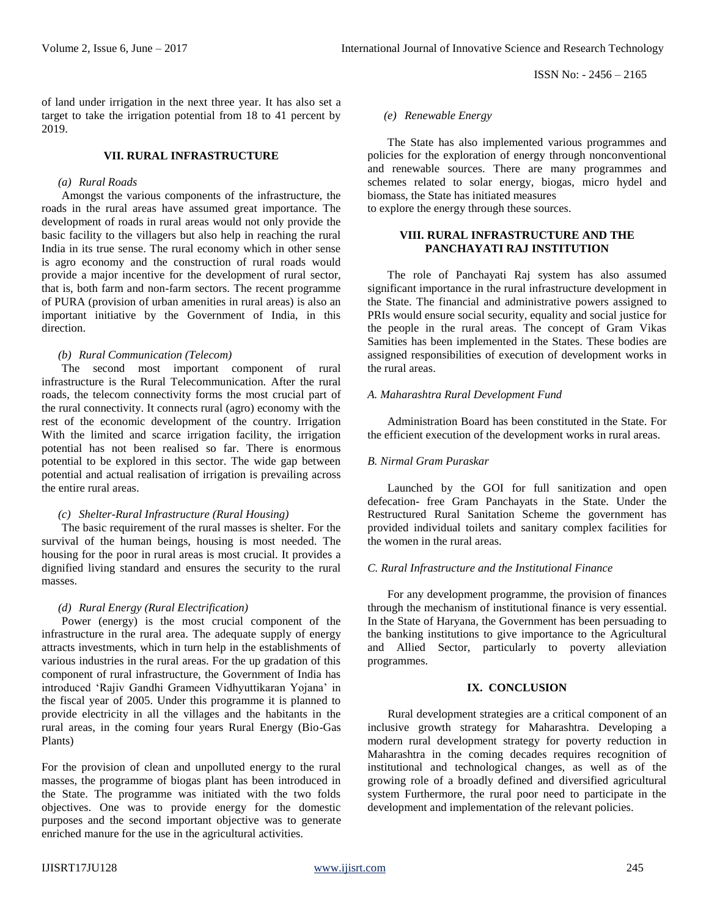ISSN No: - 2456 – 2165

of land under irrigation in the next three year. It has also set a target to take the irrigation potential from 18 to 41 percent by 2019.

#### **VII. RURAL INFRASTRUCTURE**

## *(a) Rural Roads*

Amongst the various components of the infrastructure, the roads in the rural areas have assumed great importance. The development of roads in rural areas would not only provide the basic facility to the villagers but also help in reaching the rural India in its true sense. The rural economy which in other sense is agro economy and the construction of rural roads would provide a major incentive for the development of rural sector, that is, both farm and non-farm sectors. The recent programme of PURA (provision of urban amenities in rural areas) is also an important initiative by the Government of India, in this direction.

# *(b) Rural Communication (Telecom)*

The second most important component of rural infrastructure is the Rural Telecommunication. After the rural roads, the telecom connectivity forms the most crucial part of the rural connectivity. It connects rural (agro) economy with the rest of the economic development of the country. Irrigation With the limited and scarce irrigation facility, the irrigation potential has not been realised so far. There is enormous potential to be explored in this sector. The wide gap between potential and actual realisation of irrigation is prevailing across the entire rural areas.

# *(c) Shelter-Rural Infrastructure (Rural Housing)*

The basic requirement of the rural masses is shelter. For the survival of the human beings, housing is most needed. The housing for the poor in rural areas is most crucial. It provides a dignified living standard and ensures the security to the rural masses.

#### *(d) Rural Energy (Rural Electrification)*

Power (energy) is the most crucial component of the infrastructure in the rural area. The adequate supply of energy attracts investments, which in turn help in the establishments of various industries in the rural areas. For the up gradation of this component of rural infrastructure, the Government of India has introduced 'Rajiv Gandhi Grameen Vidhyuttikaran Yojana' in the fiscal year of 2005. Under this programme it is planned to provide electricity in all the villages and the habitants in the rural areas, in the coming four years Rural Energy (Bio-Gas Plants)

For the provision of clean and unpolluted energy to the rural masses, the programme of biogas plant has been introduced in the State. The programme was initiated with the two folds objectives. One was to provide energy for the domestic purposes and the second important objective was to generate enriched manure for the use in the agricultural activities.

## *(e) Renewable Energy*

The State has also implemented various programmes and policies for the exploration of energy through nonconventional and renewable sources. There are many programmes and schemes related to solar energy, biogas, micro hydel and biomass, the State has initiated measures

to explore the energy through these sources.

# **VIII. RURAL INFRASTRUCTURE AND THE PANCHAYATI RAJ INSTITUTION**

The role of Panchayati Raj system has also assumed significant importance in the rural infrastructure development in the State. The financial and administrative powers assigned to PRIs would ensure social security, equality and social justice for the people in the rural areas. The concept of Gram Vikas Samities has been implemented in the States. These bodies are assigned responsibilities of execution of development works in the rural areas.

## *A. Maharashtra Rural Development Fund*

Administration Board has been constituted in the State. For the efficient execution of the development works in rural areas.

## *B. Nirmal Gram Puraskar*

Launched by the GOI for full sanitization and open defecation- free Gram Panchayats in the State. Under the Restructured Rural Sanitation Scheme the government has provided individual toilets and sanitary complex facilities for the women in the rural areas.

#### *C. Rural Infrastructure and the Institutional Finance*

For any development programme, the provision of finances through the mechanism of institutional finance is very essential. In the State of Haryana, the Government has been persuading to the banking institutions to give importance to the Agricultural and Allied Sector, particularly to poverty alleviation programmes.

# **IX. CONCLUSION**

Rural development strategies are a critical component of an inclusive growth strategy for Maharashtra. Developing a modern rural development strategy for poverty reduction in Maharashtra in the coming decades requires recognition of institutional and technological changes, as well as of the growing role of a broadly defined and diversified agricultural system Furthermore, the rural poor need to participate in the development and implementation of the relevant policies.